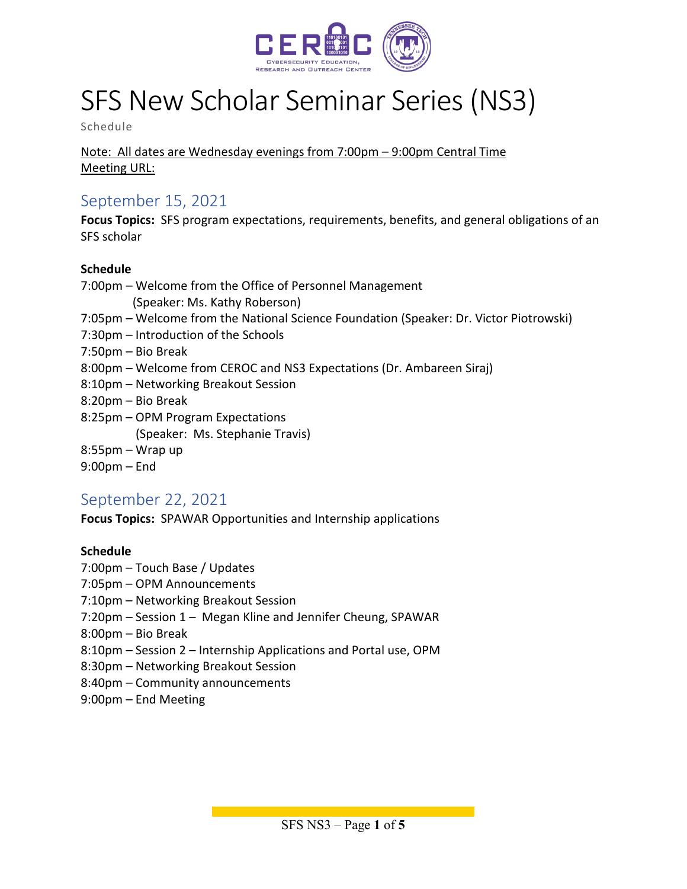

# SFS New Scholar Seminar Series (NS3)

Schedule

#### Note: All dates are Wednesday evenings from 7:00pm – 9:00pm Central Time Meeting URL:

## September 15, 2021

**Focus Topics:** SFS program expectations, requirements, benefits, and general obligations of an SFS scholar

#### **Schedule**

- 7:00pm Welcome from the Office of Personnel Management (Speaker: Ms. Kathy Roberson)
- 7:05pm Welcome from the National Science Foundation (Speaker: Dr. Victor Piotrowski)
- 7:30pm Introduction of the Schools
- 7:50pm Bio Break
- 8:00pm Welcome from CEROC and NS3 Expectations (Dr. Ambareen Siraj)
- 8:10pm Networking Breakout Session
- 8:20pm Bio Break
- 8:25pm OPM Program Expectations (Speaker: Ms. Stephanie Travis)
- 8:55pm Wrap up
- 9:00pm End

## September 22, 2021

**Focus Topics:** SPAWAR Opportunities and Internship applications

#### **Schedule**

- 7:00pm Touch Base / Updates
- 7:05pm OPM Announcements
- 7:10pm Networking Breakout Session
- 7:20pm Session 1 Megan Kline and Jennifer Cheung, SPAWAR
- 8:00pm Bio Break
- 8:10pm Session 2 Internship Applications and Portal use, OPM
- 8:30pm Networking Breakout Session
- 8:40pm Community announcements
- 9:00pm End Meeting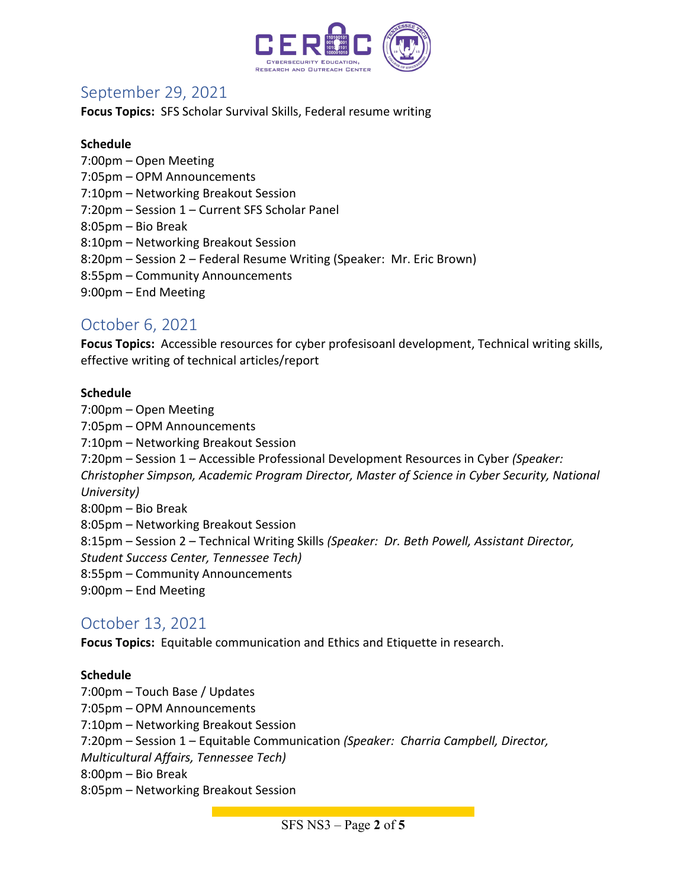

# September 29, 2021

**Focus Topics:** SFS Scholar Survival Skills, Federal resume writing

#### **Schedule**

- 7:00pm Open Meeting
- 7:05pm OPM Announcements
- 7:10pm Networking Breakout Session
- 7:20pm Session 1 Current SFS Scholar Panel
- 8:05pm Bio Break
- 8:10pm Networking Breakout Session
- 8:20pm Session 2 Federal Resume Writing (Speaker: Mr. Eric Brown)
- 8:55pm Community Announcements
- 9:00pm End Meeting

# October 6, 2021

**Focus Topics:** Accessible resources for cyber profesisoanl development, Technical writing skills, effective writing of technical articles/report

#### **Schedule**

7:00pm – Open Meeting 7:05pm – OPM Announcements 7:10pm – Networking Breakout Session 7:20pm – Session 1 – Accessible Professional Development Resources in Cyber *(Speaker: Christopher Simpson, Academic Program Director, Master of Science in Cyber Security, National University)* 8:00pm – Bio Break 8:05pm – Networking Breakout Session 8:15pm – Session 2 – Technical Writing Skills *(Speaker: Dr. Beth Powell, Assistant Director, Student Success Center, Tennessee Tech)* 8:55pm – Community Announcements 9:00pm – End Meeting

## October 13, 2021

**Focus Topics:** Equitable communication and Ethics and Etiquette in research.

#### **Schedule**

7:00pm – Touch Base / Updates 7:05pm – OPM Announcements 7:10pm – Networking Breakout Session 7:20pm – Session 1 – Equitable Communication *(Speaker: Charria Campbell, Director, Multicultural Affairs, Tennessee Tech)* 8:00pm – Bio Break 8:05pm – Networking Breakout Session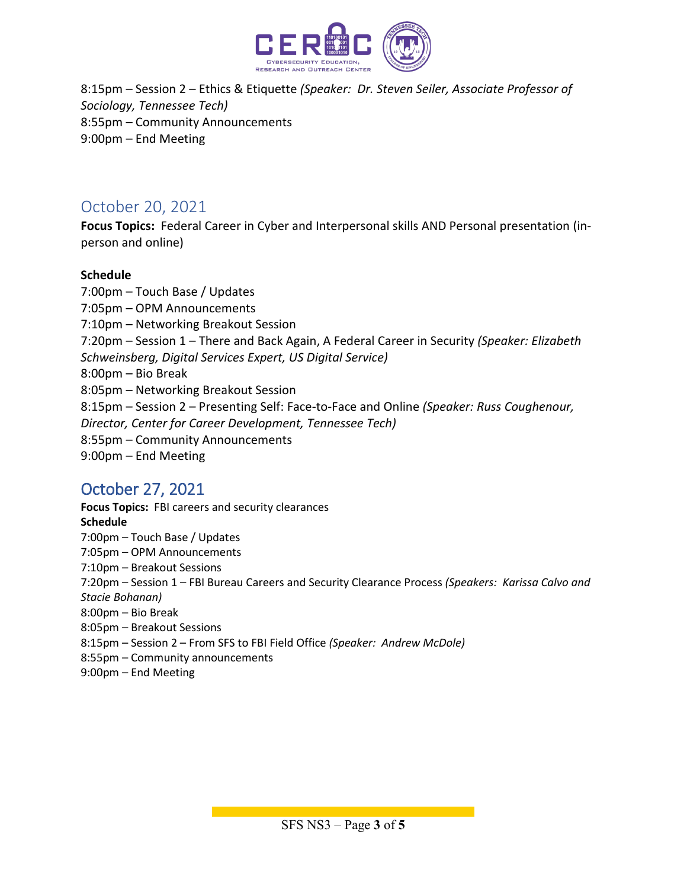

8:15pm – Session 2 – Ethics & Etiquette *(Speaker: Dr. Steven Seiler, Associate Professor of Sociology, Tennessee Tech)* 8:55pm – Community Announcements 9:00pm – End Meeting

## October 20, 2021

**Focus Topics:** Federal Career in Cyber and Interpersonal skills AND Personal presentation (inperson and online)

#### **Schedule**

7:00pm – Touch Base / Updates 7:05pm – OPM Announcements 7:10pm – Networking Breakout Session 7:20pm – Session 1 – There and Back Again, A Federal Career in Security *(Speaker: Elizabeth Schweinsberg, Digital Services Expert, US Digital Service)* 8:00pm – Bio Break 8:05pm – Networking Breakout Session 8:15pm – Session 2 – Presenting Self: Face-to-Face and Online *(Speaker: Russ Coughenour, Director, Center for Career Development, Tennessee Tech)* 8:55pm – Community Announcements 9:00pm – End Meeting

# October 27, 2021

**Focus Topics:** FBI careers and security clearances **Schedule** 7:00pm – Touch Base / Updates 7:05pm – OPM Announcements 7:10pm – Breakout Sessions 7:20pm – Session 1 – FBI Bureau Careers and Security Clearance Process *(Speakers: Karissa Calvo and Stacie Bohanan)* 8:00pm – Bio Break 8:05pm – Breakout Sessions 8:15pm – Session 2 – From SFS to FBI Field Office *(Speaker: Andrew McDole)* 8:55pm – Community announcements

9:00pm – End Meeting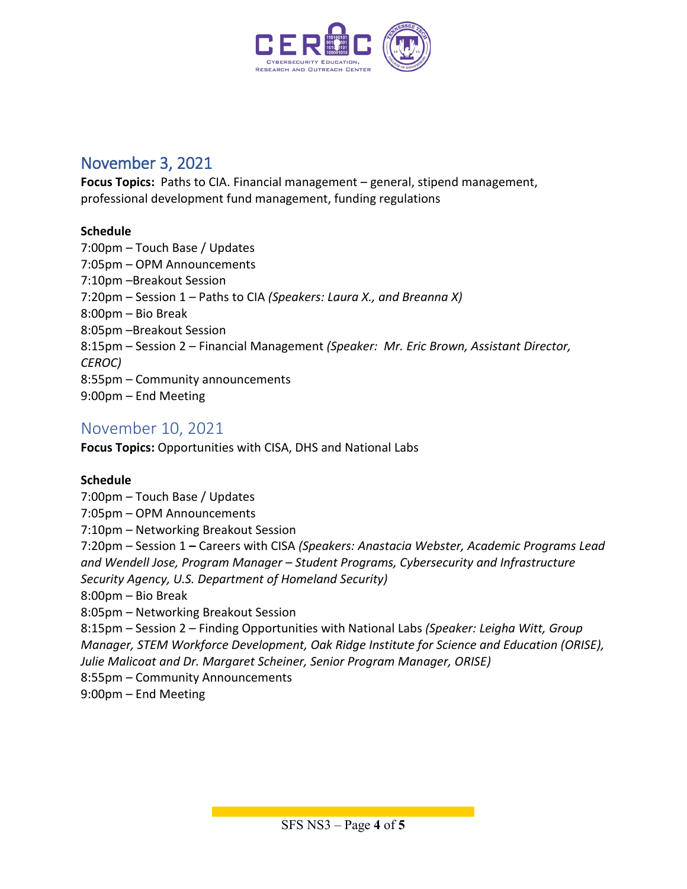

# November 3, 2021

**Focus Topics:** Paths to CIA. Financial management – general, stipend management, professional development fund management, funding regulations

#### **Schedule**

7:00pm – Touch Base / Updates 7:05pm – OPM Announcements 7:10pm –Breakout Session 7:20pm – Session 1 – Paths to CIA *(Speakers: Laura X., and Breanna X)*  8:00pm – Bio Break 8:05pm –Breakout Session 8:15pm – Session 2 – Financial Management *(Speaker: Mr. Eric Brown, Assistant Director, CEROC)* 8:55pm – Community announcements 9:00pm – End Meeting

## November 10, 2021

**Focus Topics:** Opportunities with CISA, DHS and National Labs

#### **Schedule**

7:00pm – Touch Base / Updates 7:05pm – OPM Announcements 7:10pm – Networking Breakout Session 7:20pm – Session 1 **–** Careers with CISA *(Speakers: Anastacia Webster, Academic Programs Lead and Wendell Jose, Program Manager – Student Programs, Cybersecurity and Infrastructure Security Agency, U.S. Department of Homeland Security)* 8:00pm – Bio Break 8:05pm – Networking Breakout Session 8:15pm – Session 2 – Finding Opportunities with National Labs *(Speaker: Leigha Witt, Group Manager, STEM Workforce Development, Oak Ridge Institute for Science and Education (ORISE), Julie Malicoat and Dr. Margaret Scheiner, Senior Program Manager, ORISE)* 8:55pm – Community Announcements 9:00pm – End Meeting